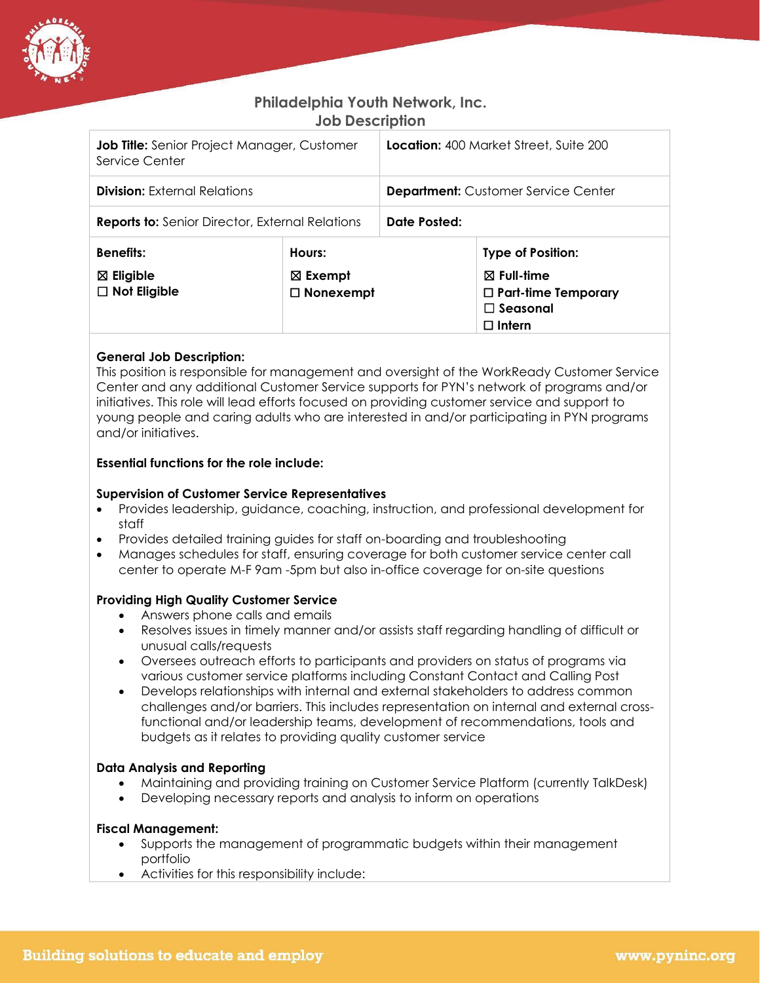

# **Philadelphia Youth Network, Inc. Job Description**

| <b>Job Title:</b> Senior Project Manager, Customer<br>Service Center |                                                  | <b>Location:</b> 400 Market Street, Suite 200 |                                                                                                                 |
|----------------------------------------------------------------------|--------------------------------------------------|-----------------------------------------------|-----------------------------------------------------------------------------------------------------------------|
| <b>Division:</b> External Relations                                  |                                                  | <b>Department:</b> Customer Service Center    |                                                                                                                 |
| <b>Reports to:</b> Senior Director, External Relations               |                                                  | Date Posted:                                  |                                                                                                                 |
| <b>Benefits:</b><br>$\boxtimes$ Eligible<br>$\Box$ Not Eligible      | Hours:<br>$\boxtimes$ Exempt<br>$\Box$ Nonexempt |                                               | <b>Type of Position:</b><br>$\boxtimes$ Full-time<br>$\Box$ Part-time Temporary<br>$\square$ Seasonal<br>Intern |

# **General Job Description:**

This position is responsible for management and oversight of the WorkReady Customer Service Center and any additional Customer Service supports for PYN's network of programs and/or initiatives. This role will lead efforts focused on providing customer service and support to young people and caring adults who are interested in and/or participating in PYN programs and/or initiatives.

# **Essential functions for the role include:**

#### **Supervision of Customer Service Representatives**

- Provides leadership, guidance, coaching, instruction, and professional development for staff
- Provides detailed training guides for staff on-boarding and troubleshooting
- Manages schedules for staff, ensuring coverage for both customer service center call center to operate M-F 9am -5pm but also in-office coverage for on-site questions

# **Providing High Quality Customer Service**

- Answers phone calls and emails
- Resolves issues in timely manner and/or assists staff regarding handling of difficult or unusual calls/requests
- Oversees outreach efforts to participants and providers on status of programs via various customer service platforms including Constant Contact and Calling Post
- Develops relationships with internal and external stakeholders to address common challenges and/or barriers. This includes representation on internal and external crossfunctional and/or leadership teams, development of recommendations, tools and budgets as it relates to providing quality customer service

# **Data Analysis and Reporting**

- Maintaining and providing training on Customer Service Platform (currently TalkDesk)
- Developing necessary reports and analysis to inform on operations

#### **Fiscal Management:**

- Supports the management of programmatic budgets within their management portfolio
- Activities for this responsibility include: